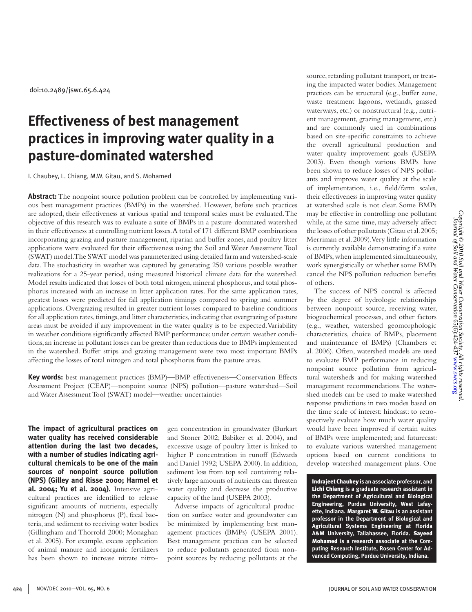doi:10.2489/jswc.65.6.424

# **Effectiveness of best management practices in improving water quality in a pasture-dominated watershed**

I. Chaubey, L. Chiang, M.W. Gitau, and S. Mohamed

**Abstract:** The nonpoint source pollution problem can be controlled by implementing various best management practices (BMPs) in the watershed. However, before such practices are adopted, their effectiveness at various spatial and temporal scales must be evaluated. The objective of this research was to evaluate a suite of BMPs in a pasture-dominated watershed in their effectiveness at controlling nutrient losses. A total of 171 different BMP combinations incorporating grazing and pasture management, riparian and buffer zones, and poultry litter applications were evaluated for their effectiveness using the Soil and Water Assessment Tool (SWAT) model. The SWAT model was parameterized using detailed farm and watershed-scale data. The stochasticity in weather was captured by generating 250 various possible weather realizations for a 25-year period, using measured historical climate data for the watershed. Model results indicated that losses of both total nitrogen, mineral phosphorus, and total phosphorus increased with an increase in litter application rates. For the same application rates, greatest losses were predicted for fall application timings compared to spring and summer applications. Overgrazing resulted in greater nutrient losses compared to baseline conditions for all application rates, timings, and litter characteristics, indicating that overgrazing of pasture areas must be avoided if any improvement in the water quality is to be expected. Variability in weather conditions significantly affected BMP performance; under certain weather conditions, an increase in pollutant losses can be greater than reductions due to BMPs implemented in the watershed. Buffer strips and grazing management were two most important BMPs affecting the losses of total nitrogen and total phosphorus from the pasture areas.

**Key words:** best management practices (BMP)—BMP effectiveness—Conservation Effects Assessment Project (CEAP)—nonpoint source (NPS) pollution—pasture watershed—Soil and Water Assessment Tool (SWAT) model—weather uncertainties

**The impact of agricultural practices on water quality has received considerable attention during the last two decades, with a number of studies indicating agricultural chemicals to be one of the main sources of nonpoint source pollution (NPS) (Gilley and Risse 2000; Harmel et al. 2004; Yu et al. 2004).** Intensive agricultural practices are identified to release significant amounts of nutrients, especially nitrogen (N) and phosphorus (P), fecal bacteria, and sediment to receiving water bodies (Gillingham and Thorrold 2000; Monaghan et al. 2005). For example, excess application of animal manure and inorganic fertilizers has been shown to increase nitrate nitrogen concentration in groundwater (Burkart and Stoner 2002; Babiker et al. 2004), and excessive usage of poultry litter is linked to higher P concentration in runoff (Edwards and Daniel 1992; USEPA 2000). In addition, sediment loss from top soil containing relatively large amounts of nutrients can threaten water quality and decrease the productive capacity of the land (USEPA 2003).

Adverse impacts of agricultural production on surface water and groundwater can be minimized by implementing best management practices (BMPs) (USEPA 2001). Best management practices can be selected to reduce pollutants generated from nonpoint sources by reducing pollutants at the

source, retarding pollutant transport, or treating the impacted water bodies. Management practices can be structural (e.g., buffer zone, waste treatment lagoons, wetlands, grassed waterways, etc.) or nonstructural (e.g., nutrient management, grazing management, etc.) and are commonly used in combinations based on site-specific constraints to achieve the overall agricultural production and water quality improvement goals (USEPA 2003). Even though various BMPs have been shown to reduce losses of NPS pollutants and improve water quality at the scale of implementation, i.e., field/farm scales, their effectiveness in improving water quality at watershed scale is not clear. Some BMPs may be effective in controlling one pollutant while, at the same time, may adversely affect the losses of other pollutants (Gitau et al. 2005; Merriman et al. 2009). Very little information is currently available demonstrating if a suite of BMPs, when implemented simultaneously, work synergistically or whether some BMPs cancel the NPS pollution reduction benefits of others.

The success of NPS control is affected by the degree of hydrologic relationships between nonpoint source, receiving water, biogeochemical processes, and other factors (e.g., weather, watershed geomorphologic characteristics, choice of BMPs, placement and maintenance of BMPs) (Chambers et al. 2006). Often, watershed models are used to evaluate BMP performance in reducing nonpoint source pollution from agricultural watersheds and for making watershed management recommendations. The watershed models can be used to make watershed response predictions in two modes based on the time scale of interest: hindcast: to retrospectively evaluate how much water quality would have been improved if certain suites of BMPs were implemented; and futurecast: to evaluate various watershed management options based on current conditions to develop watershed management plans. One

Indrajeet Chaubey **is an associate professor, and**  Lichi Chiang **is a graduate research assistant in the Department of Agricultural and Biological Engineering, Purdue University, West Lafayette, Indiana.** Margaret W. Gitau **is an assistant professor in the Department of Biological and Agricultural Systems Engineering at Florida A&M University, Tallahassee, Florida.** Sayeed Mohamed **is a research associate at the Computing Research Institute, Rosen Center for Advanced Computing, Purdue University, Indiana.**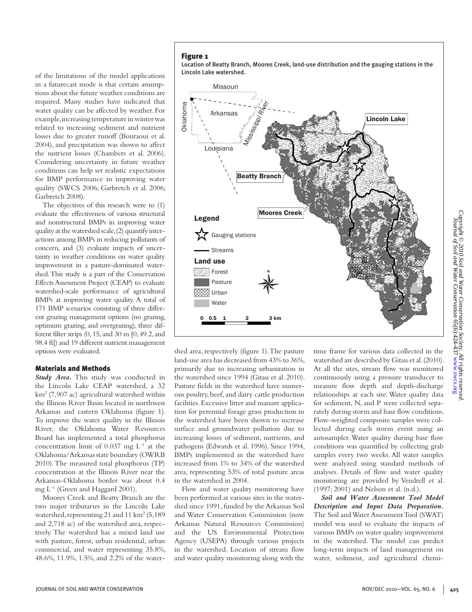of the limitations of the model applications in a futurecast mode is that certain assumptions about the future weather conditions are required. Many studies have indicated that water quality can be affected by weather. For example, increasing temperature in winter was related to increasing sediment and nutrient losses due to greater runoff (Bouraoui et al. 2004), and precipitation was shown to affect the nutrient losses (Chambers et al. 2006). Considering uncertainty in future weather conditions can help set realistic expectations for BMP performance in improving water quality (SWCS 2006; Garbretch et al. 2006; Garbretch 2008).

The objectives of this research were to (1) evaluate the effectiveness of various structural and nonstructural BMPs in improving water quality at the watershed scale, (2) quantify interactions among BMPs in reducing pollutants of concern, and (3) evaluate impacts of uncertainty in weather conditions on water quality improvement in a pasture-dominated watershed. This study is a part of the Conservation Effects Assessment Project (CEAP) to evaluate watershed-scale performance of agricultural BMPs at improving water quality. A total of 171 BMP scenarios consisting of three different grazing management options (no grazing, optimum grazing, and overgrazing), three different filter strips (0, 15, and 30 m [0, 49.2, and 98.4 ft]) and 19 different nutrient management options were evaluated.

#### Materials and Methods

**Study Area.** This study was conducted in the Lincoln Lake CEAP watershed, a 32 km2 (7,907 ac) agricultural watershed within the Illinois River Basin located in northwest Arkansas and eastern Oklahoma (figure 1). To improve the water quality in the Illinois River, the Oklahoma Water Resources Board has implemented a total phosphorus concentration limit of  $0.037$  mg  $L^{-1}$  at the Oklahoma/Arkansas state boundary (OWRB 2010). The measured total phosphorus (TP) concentration at the Illinois River near the Arkansas-Oklahoma border was about 0.4 mg  $L^{-1}$  (Green and Haggard 2001).

Moores Creek and Beatty Branch are the two major tributaries in the Lincoln Lake watershed, representing 21 and 11 km<sup>2</sup> (5,189) and 2,718 ac) of the watershed area, respectively. The watershed has a mixed land use with pasture, forest, urban residential, urban commercial, and water representing 35.8%, 48.6%, 11.9%, 1.5%, and 2.2% of the watershed area, respectively (figure 1). The pasture land-use area has decreased from 43% to 36%, primarily due to increasing urbanization in the watershed since 1994 (Gitau et al. 2010). Pasture fields in the watershed have numerous poultry, beef, and dairy cattle production facilities. Excessive litter and manure application for perennial forage grass production in the watershed have been shown to increase surface and groundwater pollution due to increasing losses of sediment, nutrients, and pathogens (Edwards et al. 1996). Since 1994, BMPs implemented in the watershed have increased from 1% to 34% of the watershed area, representing 53% of total pasture areas in the watershed in 2004.

0.5 1 2 3 km

Missouri

Arkansas Mississippi

Gauging stations

**Streams** 

Legend

Land use

Forest Pasture Urban Water

Beatty Branch

N

Louisiana

Oklahoma

**Oklahoma** 

Flow and water quality monitoring have been performed at various sites in the watershed since 1991, funded by the Arkansas Soil and Water Conservation Commission (now Arkansas Natural Resources Commission) and the US Environmental Protection Agency (USEPA) through various projects in the watershed. Location of stream flow and water quality monitoring along with the watershed are described by Gitau et al. (2010). At all the sites, stream flow was monitored continuously using a pressure transducer to measure flow depth and depth-discharge relationships at each site. Water quality data for sediment, N, and P were collected separately during storm and base flow conditions. Flow-weighted composite samples were collected during each storm event using an autosampler. Water quality during base flow conditions was quantified by collecting grab samples every two weeks. All water samples were analyzed using standard methods of analyses. Details of flow and water quality monitoring are provided by Vendrell et al. (1997; 2001) and Nelson et al. (n.d.).

*Soil and Water Assessment Tool Model Description and Input Data Preparation.*  The Soil and Water Assessment Tool (SWAT) model was used to evaluate the impacts of various BMPs on water quality improvement in the watershed. The model can predict long-term impacts of land management on water, sediment, and agricultural chemi-

Figure 1 Location of Beatty Branch, Moores Creek, land-use distribution and the gauging stations in the Lincoln Lake watershed.

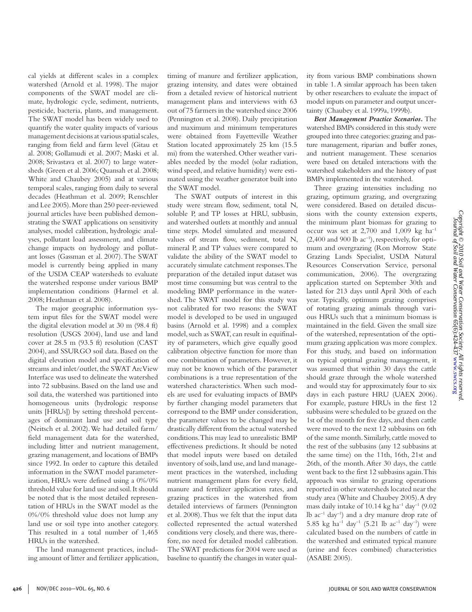cal yields at different scales in a complex watershed (Arnold et al. 1998). The major components of the SWAT model are climate, hydrologic cycle, sediment, nutrients, pesticide, bacteria, plants, and management. The SWAT model has been widely used to quantify the water quality impacts of various management decisions at various spatial scales, ranging from field and farm level (Gitau et al. 2008; Gollamudi et al. 2007; Maski et al. 2008; Srivastava et al. 2007) to large watersheds (Green et al. 2006; Quansah et al. 2008; White and Chaubey 2005) and at various temporal scales, ranging from daily to several decades (Heathman et al. 2009; Renschler and Lee 2005). More than 250 peer-reviewed journal articles have been published demonstrating the SWAT applications on sensitivity analyses, model calibration, hydrologic analyses, pollutant load assessment, and climate change impacts on hydrology and pollutant losses (Gassman et al. 2007). The SWAT model is currently being applied in many of the USDA CEAP watersheds to evaluate the watershed response under various BMP implementation conditions (Harmel et al. 2008; Heathman et al. 2008).

The major geographic information system input files for the SWAT model were the digital elevation model at 30 m (98.4 ft) resolution (USGS 2004), land use and land cover at 28.5 m (93.5 ft) resolution (CAST 2004), and SSURGO soil data. Based on the digital elevation model and specification of streams and inlet/outlet, the SWAT ArcView Interface was used to delineate the watershed into 72 subbasins. Based on the land use and soil data, the watershed was partitioned into homogeneous units (hydrologic response units [HRUs]) by setting threshold percentages of dominant land use and soil type (Neitsch et al. 2002). We had detailed farm/ field management data for the watershed, including litter and nutrient management, grazing management, and locations of BMPs since 1992. In order to capture this detailed information in the SWAT model parameterization, HRUs were defined using a 0%/0% threshold value for land use and soil. It should be noted that is the most detailed representation of HRUs in the SWAT model as the 0%/0% threshold value does not lump any land use or soil type into another category. This resulted in a total number of 1,465 HRUs in the watershed.

The land management practices, including amount of litter and fertilizer application, timing of manure and fertilizer application, grazing intensity, and dates were obtained from a detailed review of historical nutrient management plans and interviews with 63 out of 75 farmers in the watershed since 2006 (Pennington et al. 2008). Daily precipitation and maximum and minimum temperatures were obtained from Fayetteville Weather Station located approximately 25 km (15.5 mi) from the watershed. Other weather variables needed by the model (solar radiation, wind speed, and relative humidity) were estimated using the weather generator built into the SWAT model.

The SWAT outputs of interest in this study were stream flow, sediment, total N, soluble P, and TP losses at HRU, subbasin, and watershed outlets at monthly and annual time steps. Model simulated and measured values of stream flow, sediment, total N, mineral P, and TP values were compared to validate the ability of the SWAT model to accurately simulate catchment responses. The preparation of the detailed input dataset was most time consuming but was central to the modeling BMP performance in the watershed. The SWAT model for this study was not calibrated for two reasons: the SWAT model is developed to be used in ungauged basins (Arnold et al. 1998) and a complex model, such as SWAT, can result in equifinality of parameters, which give equally good calibration objective function for more than one combination of parameters. However, it may not be known which of the parameter combinations is a true representation of the watershed characteristics. When such models are used for evaluating impacts of BMPs by further changing model parameters that correspond to the BMP under consideration, the parameter values to be changed may be drastically different from the actual watershed conditions. This may lead to unrealistic BMP effectiveness predictions. It should be noted that model inputs were based on detailed inventory of soils, land use, and land management practices in the watershed, including nutrient management plans for every field, manure and fertilizer application rates, and grazing practices in the watershed from detailed interviews of farmers (Pennington et al. 2008). Thus we felt that the input data collected represented the actual watershed conditions very closely, and there was, therefore, no need for detailed model calibration. The SWAT predictions for 2004 were used as baseline to quantify the changes in water quality from various BMP combinations shown in table 1. A similar approach has been taken by other researchers to evaluate the impact of model inputs on parameter and output uncertainty (Chaubey et al. 1999a, 1999b).

*Best Management Practice Scenarios.* The watershed BMPs considered in this study were grouped into three categories: grazing and pasture management, riparian and buffer zones, and nutrient management. These scenarios were based on detailed interactions with the watershed stakeholders and the history of past BMPs implemented in the watershed.

Three grazing intensities including no grazing, optimum grazing, and overgrazing were considered. Based on detailed discussions with the county extension experts, the minimum plant biomass for grazing to occur was set at  $2,700$  and  $1,009$  kg  $ha^{-1}$  $(2,400 \text{ and } 900 \text{ lb } ac^{-1})$ , respectively, for optimum and overgrazing (Ron Morrow State Grazing Lands Specialist, USDA Natural Resources Conservation Service, personal communication, 2006). The overgrazing application started on September 30th and lasted for 213 days until April 30th of each year. Typically, optimum grazing comprises of rotating grazing animals through various HRUs such that a minimum biomass is maintained in the field. Given the small size of the watershed, representation of the optimum grazing application was more complex. For this study, and based on information on typical optimal grazing management, it was assumed that within 30 days the cattle should graze through the whole watershed and would stay for approximately four to six days in each pasture HRU (UAEX 2006). For example, pasture HRUs in the first 12 subbasins were scheduled to be grazed on the 1st of the month for five days, and then cattle were moved to the next 12 subbasins on 6th of the same month. Similarly, cattle moved to the rest of the subbasins (any 12 subbasins at the same time) on the 11th, 16th, 21st and 26th, of the month. After 30 days, the cattle went back to the first 12 subbasins again. This approach was similar to grazing operations reported in other watersheds located near the study area (White and Chaubey 2005). A dry mass daily intake of 10.14 kg ha<sup>-1</sup> day<sup>-1</sup> (9.02) lb  $ac^{-1}$  day<sup>-1</sup>) and a dry manure drop rate of 5.85 kg ha<sup>-1</sup> day<sup>-1</sup> (5.21 lb ac<sup>-1</sup> day<sup>-1</sup>) were calculated based on the numbers of cattle in the watershed and estimated typical manure (urine and feces combined) characteristics (ASABE 2005).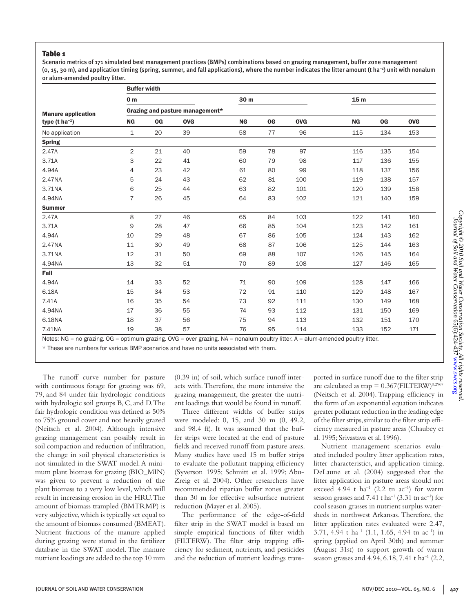Scenario metrics of 171 simulated best management practices (BMPs) combinations based on grazing management, buffer zone management (0, 15, 30 m), and application timing (spring, summer, and fall applications), where the number indicates the litter amount (t ha–<sup>1</sup> ) unit with nonalum or alum-amended poultry litter.

|                            | <b>Buffer width</b>             |           |            |           |           |            |           |           |            |  |  |
|----------------------------|---------------------------------|-----------|------------|-----------|-----------|------------|-----------|-----------|------------|--|--|
| <b>Manure application</b>  | 0 <sub>m</sub>                  |           |            | 30 m      |           |            | 15 m      |           |            |  |  |
|                            | Grazing and pasture management* |           |            |           |           |            |           |           |            |  |  |
| type $(t \text{ ha}^{-1})$ | <b>NG</b>                       | <b>OG</b> | <b>OVG</b> | <b>NG</b> | <b>OG</b> | <b>OVG</b> | <b>NG</b> | <b>OG</b> | <b>OVG</b> |  |  |
| No application             | $\mathbf{1}$                    | 20        | 39         | 58        | 77        | 96         | 115       | 134       | 153        |  |  |
| <b>Spring</b>              |                                 |           |            |           |           |            |           |           |            |  |  |
| 2.47A                      | $\overline{2}$                  | 21        | 40         | 59        | 78        | 97         | 116       | 135       | 154        |  |  |
| 3.71A                      | 3                               | 22        | 41         | 60        | 79        | 98         | 117       | 136       | 155        |  |  |
| 4.94A                      | 4                               | 23        | 42         | 61        | 80        | 99         | 118       | 137       | 156        |  |  |
| 2.47NA                     | 5                               | 24        | 43         | 62        | 81        | 100        | 119       | 138       | 157        |  |  |
| 3.71NA                     | 6                               | 25        | 44         | 63        | 82        | 101        | 120       | 139       | 158        |  |  |
| 4.94NA                     | $\overline{7}$                  | 26        | 45         | 64        | 83        | 102        | 121       | 140       | 159        |  |  |
| <b>Summer</b>              |                                 |           |            |           |           |            |           |           |            |  |  |
| 2.47A                      | 8                               | 27        | 46         | 65        | 84        | 103        | 122       | 141       | 160        |  |  |
| 3.71A                      | 9                               | 28        | 47         | 66        | 85        | 104        | 123       | 142       | 161        |  |  |
| 4.94A                      | 10                              | 29        | 48         | 67        | 86        | 105        | 124       | 143       | 162        |  |  |
| 2.47NA                     | 11                              | 30        | 49         | 68        | 87        | 106        | 125       | 144       | 163        |  |  |
| 3.71NA                     | 12                              | 31        | 50         | 69        | 88        | 107        | 126       | 145       | 164        |  |  |
| 4.94NA                     | 13                              | 32        | 51         | 70        | 89        | 108        | 127       | 146       | 165        |  |  |
| Fall                       |                                 |           |            |           |           |            |           |           |            |  |  |
| 4.94A                      | 14                              | 33        | 52         | 71        | 90        | 109        | 128       | 147       | 166        |  |  |
| 6.18A                      | 15                              | 34        | 53         | 72        | 91        | 110        | 129       | 148       | 167        |  |  |
| 7.41A                      | 16                              | 35        | 54         | 73        | 92        | 111        | 130       | 149       | 168        |  |  |
| 4.94NA                     | 17                              | 36        | 55         | 74        | 93        | 112        | 131       | 150       | 169        |  |  |
| 6.18NA                     | 18                              | 37        | 56         | 75        | 94        | 113        | 132       | 151       | 170        |  |  |
| 7.41NA                     | 19                              | 38        | 57         | 76        | 95        | 114        | 133       | 152       | 171        |  |  |

Notes: NG = no grazing. OG = optimum grazing. OVG = over grazing. NA = nonalum poultry litter. A = alum-amended poultry litter.

\* These are numbers for various BMP scenarios and have no units associated with them.

The runoff curve number for pasture with continuous forage for grazing was 69, 79, and 84 under fair hydrologic conditions with hydrologic soil groups B, C, and D. The fair hydrologic condition was defined as 50% to 75% ground cover and not heavily grazed (Neitsch et al. 2004). Although intensive grazing management can possibly result in soil compaction and reduction of infiltration, the change in soil physical characteristics is not simulated in the SWAT model. A minimum plant biomass for grazing (BIO\_MIN) was given to prevent a reduction of the plant biomass to a very low level, which will result in increasing erosion in the HRU. The amount of biomass trampled (BMTRMP) is very subjective, which is typically set equal to the amount of biomass consumed (BMEAT). Nutrient fractions of the manure applied during grazing were stored in the fertilizer database in the SWAT model. The manure nutrient loadings are added to the top 10 mm

(0.39 in) of soil, which surface runoff interacts with. Therefore, the more intensive the grazing management, the greater the nutrient loadings that would be found in runoff.

Three different widths of buffer strips were modeled: 0, 15, and 30 m (0, 49.2, and 98.4 ft). It was assumed that the buffer strips were located at the end of pasture fields and received runoff from pasture areas. Many studies have used 15 m buffer strips to evaluate the pollutant trapping efficiency (Syverson 1995; Schmitt et al. 1999; Abu-Zreig et al. 2004). Other researchers have recommended riparian buffer zones greater than 30 m for effective subsurface nutrient reduction (Mayer et al. 2005).

The performance of the edge-of-field filter strip in the SWAT model is based on simple empirical functions of filter width (FILTERW). The filter strip trapping efficiency for sediment, nutrients, and pesticides and the reduction of nutrient loadings trans-

ported in surface runoff due to the filter strip are calculated as trap  $= 0.367$ (FILTERW)<sup>0.2967</sup> (Neitsch et al. 2004). Trapping efficiency in the form of an exponential equation indicates greater pollutant reduction in the leading edge of the filter strips, similar to the filter strip efficiency measured in pasture areas (Chaubey et al. 1995; Srivastava et al. 1996).

Nutrient management scenarios evaluated included poultry litter application rates, litter characteristics, and application timing. DeLaune et al. (2004) suggested that the litter application in pasture areas should not exceed 4.94 t  $ha^{-1}$  (2.2 tn  $ac^{-1}$ ) for warm season grasses and 7.41 t ha<sup>-1</sup> (3.31 tn ac<sup>-1</sup>) for cool season grasses in nutrient surplus watersheds in northwest Arkansas. Therefore, the litter application rates evaluated were 2.47, 3.71, 4.94 t ha<sup>-1</sup> (1.1, 1.65, 4.94 tn ac<sup>-1</sup>) in spring (applied on April 30th) and summer (August 31st) to support growth of warm season grasses and  $4.94, 6.18, 7.41$  t ha<sup>-1</sup> (2.2,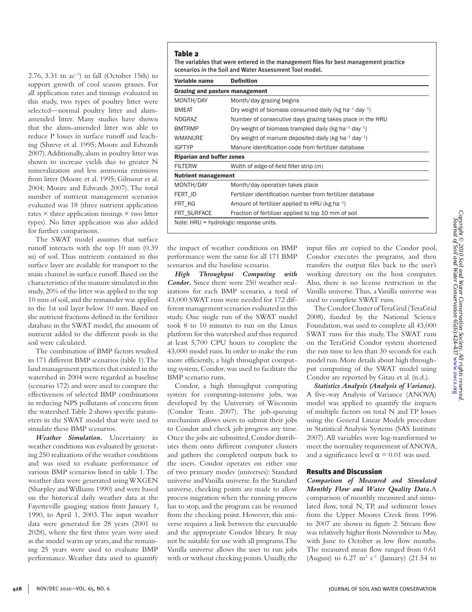2.76, 3.31 tn  $ac^{-1}$  in fall (October 15th) to support growth of cool season grasses. For all application rates and timings evaluated in this study, two types of poultry litter were selected—normal poultry litter and alumamended litter. Many studies have shown that the alum-amended litter was able to reduce P losses in surface runoff and leaching (Shreve et al. 1995; Moore and Edwards 2007). Additionally, alum in poultry litter was shown to increase yields due to greater N mineralization and less ammonia emissions from litter (Moore et al. 1995; Gilmour et al. 2004; Moore and Edwards 2007). The total number of nutrient management scenarios evaluated was 18 (three nutrient application rates  $\times$  three application timings  $\times$  two litter types). No litter application was also added for further comparisons.

The SWAT model assumes that surface runoff interacts with the top 10 mm (0.39 in) of soil. Thus nutrients contained in this surface layer are available for transport to the main channel in surface runoff. Based on the characteristics of the manure simulated in this study, 20% of the litter was applied to the top 10 mm of soil, and the remainder was applied to the 1st soil layer below 10 mm. Based on the nutrient fractions defined in the fertilizer database in the SWAT model, the amounts of nutrient added to the different pools in the soil were calculated.

The combination of BMP factors resulted in 171 different BMP scenarios (table 1). The land management practices that existed in the watershed in 2004 were regarded as baseline (scenario 172) and were used to compare the effectiveness of selected BMP combinations in reducing NPS pollutants of concern from the watershed. Table 2 shows specific parameters in the SWAT model that were used to simulate these BMP scenarios.

*Weather Simulation.* Uncertainty in weather conditions was evaluated by generating 250 realizations of the weather conditions and was used to evaluate performance of various BMP scenarios listed in table 1. The weather data were generated using WXGEN (Sharpley and Williams 1990) and were based on the historical daily weather data at the Fayetteville gauging station from January 1, 1990, to April 1, 2003. The input weather data were generated for 28 years (2001 to 2028), where the first three years were used as the model warm up years, and the remaining 25 years were used to evaluate BMP performance. Weather data used to quantify

#### Table 2

The variables that were entered in the management files for best management practice scenarios in the Soil and Water Assessment Tool model.

| Variable name                    | <b>Definition</b>                                                                |  |  |  |  |  |  |
|----------------------------------|----------------------------------------------------------------------------------|--|--|--|--|--|--|
| Grazing and pasture management   |                                                                                  |  |  |  |  |  |  |
| MONTH/DAY                        | Month/day grazing begins                                                         |  |  |  |  |  |  |
| <b>BMEAT</b>                     | Dry weight of biomass consumed daily ( $kg$ ha <sup>-1</sup> day <sup>-1</sup> ) |  |  |  |  |  |  |
| <b>NDGRAZ</b>                    | Number of consecutive days grazing takes place in the HRU                        |  |  |  |  |  |  |
| <b>BMTRMP</b>                    | Dry weight of biomass trampled daily ( $kg$ ha <sup>-1</sup> day <sup>-1</sup> ) |  |  |  |  |  |  |
| <b>WMANURE</b>                   | Dry weight of manure deposited daily ( $kg$ ha <sup>-1</sup> day <sup>-1</sup> ) |  |  |  |  |  |  |
| <b>IGFTYP</b>                    | Manure identification code from fertilizer database                              |  |  |  |  |  |  |
| <b>Riparian and buffer zones</b> |                                                                                  |  |  |  |  |  |  |
| <b>FILTERW</b>                   | Width of edge-of-field filter strip (m)                                          |  |  |  |  |  |  |
| <b>Nutrient management</b>       |                                                                                  |  |  |  |  |  |  |
| MONTH/DAY                        | Month/day operation takes place                                                  |  |  |  |  |  |  |
| FERT ID                          | Fertilizer identification number from fertilizer database                        |  |  |  |  |  |  |
| FRT KG                           | Amount of fertilizer applied to HRU ( $kg$ ha <sup>-1</sup> )                    |  |  |  |  |  |  |
| FRT SURFACE                      | Fraction of fertilizer applied to top 10 mm of soil                              |  |  |  |  |  |  |
|                                  | Note: HRU = hydrologic response units.                                           |  |  |  |  |  |  |

the impact of weather conditions on BMP performance were the same for all 171 BMP scenarios and the baseline scenario.

*High Throughput Computing with Condor.* Since there were 250 weather realizations for each BMP scenario, a total of 43,000 SWAT runs were needed for 172 different management scenarios evaluated in this study. One single run of the SWAT model took 8 to 10 minutes to run on the Linux platform for this watershed and thus required at least 5,700 CPU hours to complete the 43,000 model runs. In order to make the run more efficiently, a high throughput computing system, Condor, was used to facilitate the BMP scenario runs.

Condor, a high throughput computing system for computing-intensive jobs, was developed by the University of Wisconsin (Condor Team 2007). The job-queuing mechanism allows users to submit their jobs to Condor and check job progress any time. Once the jobs are submitted, Condor distributes them onto different computer clusters and gathers the completed outputs back to the users. Condor operates on either one of two primary modes (universes): Standard universe and Vanilla universe. In the Standard universe, checking points are made to allow process migration when the running process has to stop, and the program can be resumed from the checking point. However, this universe requires a link between the executable and the appropriate Condor library. It may not be suitable for use with all programs. The Vanilla universe allows the user to run jobs with or without checking points. Usually, the input files are copied to the Condor pool, Condor executes the programs, and then transfers the output files back to the user's working directory on the host computer. Also, there is no license restriction in the Vanilla universe. Thus, a Vanilla universe was used to complete SWAT runs.

The Condor Cluster of TeraGrid (TeraGrid 2008), funded by the National Science Foundation, was used to complete all 43,000 SWAT runs for this study. The SWAT runs on the TeraGrid Condor system shortened the run time to less than 30 seconds for each model run. More details about high throughput computing of the SWAT model using Condor are reported by Gitau et al. (n.d.).

*Statistics Analysis (Analysis of Variance).*  A five-way Analysis of Variance (ANOVA) model was applied to quantify the impacts of multiple factors on total N and TP losses using the General Linear Models procedure in Statistical Analysis Systems (SAS Institute 2007). All variables were log-transformed to meet the normality requirement of ANOVA, and a significance level  $\alpha$  = 0.01 was used.

#### Results and Discussion

*Comparison of Measured and Simulated Monthly Flow and Water Quality Data.*A comparison of monthly measured and simulated flow, total N, TP, and sediment losses from the Upper Moores Creek from 1996 to 2007 are shown in figure 2. Stream flow was relatively higher from November to May, with June to October as low flow months. The measured mean flow ranged from 0.61 (August) to  $6.27 \text{ m}^3 \text{ s}^{-1}$  (January) (21.54 to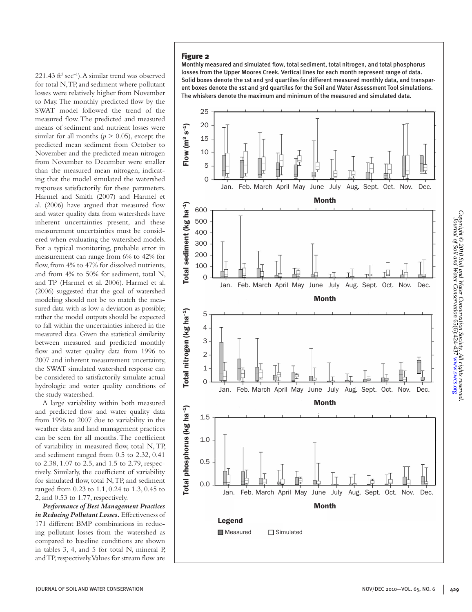$221.43 \text{ ft}^3 \text{ sec}^{-1}$ ). A similar trend was observed for total N, TP, and sediment where pollutant losses were relatively higher from November to May. The monthly predicted flow by the SWAT model followed the trend of the measured flow. The predicted and measured means of sediment and nutrient losses were similar for all months ( $p > 0.05$ ), except the predicted mean sediment from October to November and the predicted mean nitrogen from November to December were smaller than the measured mean nitrogen, indicating that the model simulated the watershed responses satisfactorily for these parameters. Harmel and Smith (2007) and Harmel et al. (2006) have argued that measured flow and water quality data from watersheds have inherent uncertainties present, and these measurement uncertainties must be considered when evaluating the watershed models. For a typical monitoring, probable error in measurement can range from 6% to 42% for flow, from 4% to 47% for dissolved nutrients, and from 4% to 50% for sediment, total N, and TP (Harmel et al. 2006). Harmel et al. (2006) suggested that the goal of watershed modeling should not be to match the measured data with as low a deviation as possible; rather the model outputs should be expected to fall within the uncertainties inhered in the measured data. Given the statistical similarity between measured and predicted monthly flow and water quality data from 1996 to 2007 and inherent measurement uncertainty, the SWAT simulated watershed response can be considered to satisfactorily simulate actual hydrologic and water quality conditions of the study watershed.

A large variability within both measured and predicted flow and water quality data from 1996 to 2007 due to variability in the weather data and land management practices can be seen for all months. The coefficient of variability in measured flow, total N, TP, and sediment ranged from 0.5 to 2.32, 0.41 to 2.38, 1.07 to 2.5, and 1.5 to 2.79, respectively. Similarly, the coefficient of variability for simulated flow, total N, TP, and sediment ranged from 0.23 to 1.1, 0.24 to 1.3, 0.45 to 2, and 0.53 to 1.77, respectively.

*Performance of Best Management Practices in Reducing Pollutant Losses.* Effectiveness of 171 different BMP combinations in reducing pollutant losses from the watershed as compared to baseline conditions are shown in tables 3, 4, and 5 for total N, mineral P, and TP, respectively. Values for stream flow are

## Figure 2

Monthly measured and simulated flow, total sediment, total nitrogen, and total phosphorus losses from the Upper Moores Creek. Vertical lines for each month represent range of data. Solid boxes denote the 1st and 3rd quartiles for different measured monthly data, and transparent boxes denote the 1st and 3rd quartiles for the Soil and Water Assessment Tool simulations. The whiskers denote the maximum and minimum of the measured and simulated data.

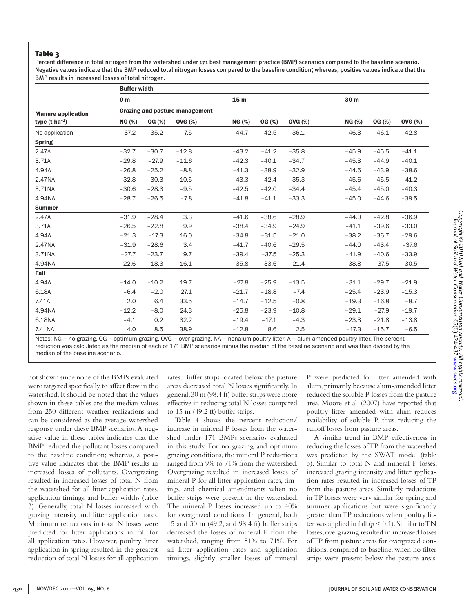Percent difference in total nitrogen from the watershed under 171 best management practice (BMP) scenarios compared to the baseline scenario. Negative values indicate that the BMP reduced total nitrogen losses compared to the baseline condition; whereas, positive values indicate that the BMP results in increased losses of total nitrogen.

|                            | <b>Buffer width</b>                   |         |                |                 |         |                |                 |               |                |  |
|----------------------------|---------------------------------------|---------|----------------|-----------------|---------|----------------|-----------------|---------------|----------------|--|
|                            | 0 <sub>m</sub>                        |         |                | 15 <sub>m</sub> |         |                | 30 <sub>m</sub> |               |                |  |
| <b>Manure application</b>  | <b>Grazing and pasture management</b> |         |                |                 |         |                |                 |               |                |  |
| type $(t \text{ ha}^{-1})$ | <b>NG (%)</b>                         | OG (%)  | <b>OVG</b> (%) | <b>NG (%)</b>   | OG (%)  | <b>OVG</b> (%) | <b>NG (%)</b>   | <b>OG</b> (%) | <b>OVG</b> (%) |  |
| No application             | $-37.2$                               | $-35.2$ | $-7.5$         | $-44.7$         | $-42.5$ | $-36.1$        | $-46.3$         | $-46.1$       | $-42.8$        |  |
| <b>Spring</b>              |                                       |         |                |                 |         |                |                 |               |                |  |
| 2.47A                      | $-32.7$                               | $-30.7$ | $-12.8$        | $-43.2$         | $-41.2$ | $-35.8$        | $-45.9$         | $-45.5$       | $-41.1$        |  |
| 3.71A                      | $-29.8$                               | $-27.9$ | $-11.6$        | $-42.3$         | $-40.1$ | $-34.7$        | $-45.3$         | $-44.9$       | $-40.1$        |  |
| 4.94A                      | $-26.8$                               | $-25.2$ | $-8.8$         | $-41.3$         | $-38.9$ | $-32.9$        | $-44.6$         | $-43.9$       | $-38.6$        |  |
| 2.47NA                     | $-32.8$                               | $-30.3$ | $-10.5$        | $-43.3$         | $-42.4$ | $-35.3$        | $-45.6$         | $-45.5$       | $-41.2$        |  |
| 3.71NA                     | $-30.6$                               | $-28.3$ | $-9.5$         | $-42.5$         | $-42.0$ | $-34.4$        | $-45.4$         | $-45.0$       | $-40.3$        |  |
| 4.94NA                     | $-28.7$                               | $-26.5$ | $-7.8$         | $-41.8$         | $-41.1$ | $-33.3$        | $-45.0$         | $-44.6$       | $-39.5$        |  |
| <b>Summer</b>              |                                       |         |                |                 |         |                |                 |               |                |  |
| 2.47A                      | $-31.9$                               | $-28.4$ | 3.3            | $-41.6$         | $-38.6$ | $-28.9$        | $-44.0$         | $-42.8$       | $-36.9$        |  |
| 3.71A                      | $-26.5$                               | $-22.8$ | 9.9            | $-38.4$         | $-34.9$ | $-24.9$        | $-41.1$         | $-39.6$       | $-33.0$        |  |
| 4.94A                      | $-21.3$                               | $-17.3$ | 16.0           | $-34.8$         | $-31.5$ | $-21.0$        | $-38.2$         | $-36.7$       | $-29.6$        |  |
| 2.47NA                     | $-31.9$                               | $-28.6$ | 3.4            | $-41.7$         | $-40.6$ | $-29.5$        | $-44.0$         | $-43.4$       | $-37.6$        |  |
| 3.71NA                     | $-27.7$                               | $-23.7$ | 9.7            | $-39.4$         | $-37.5$ | $-25.3$        | $-41.9$         | $-40.6$       | $-33.9$        |  |
| 4.94NA                     | $-22.6$                               | $-18.3$ | 16.1           | $-35.8$         | $-33.6$ | $-21.4$        | $-38.8$         | $-37.5$       | $-30.5$        |  |
| Fall                       |                                       |         |                |                 |         |                |                 |               |                |  |
| 4.94A                      | $-14.0$                               | $-10.2$ | 19.7           | $-27.8$         | $-25.9$ | $-13.5$        | $-31.1$         | $-29.7$       | $-21.9$        |  |
| 6.18A                      | $-6.4$                                | $-2.0$  | 27.1           | $-21.7$         | $-18.8$ | $-7.4$         | $-25.4$         | $-23.9$       | $-15.3$        |  |
| 7.41A                      | 2.0                                   | 6.4     | 33.5           | $-14.7$         | $-12.5$ | $-0.8$         | $-19.3$         | $-16.8$       | $-8.7$         |  |
| 4.94NA                     | $-12.2$                               | $-8.0$  | 24.3           | $-25.8$         | $-23.9$ | $-10.8$        | $-29.1$         | $-27.9$       | $-19.7$        |  |
| 6.18NA                     | $-4.1$                                | 0.2     | 32.2           | $-19.4$         | $-17.1$ | $-4.3$         | $-23.3$         | $-21.8$       | $-13.8$        |  |
| 7.41NA                     | 4.0                                   | 8.5     | 38.9           | $-12.8$         | 8.6     | 2.5            | $-17.3$         | $-15.7$       | $-6.5$         |  |

Notes: NG = no grazing. OG = optimum grazing. OVG = over grazing. NA = nonalum poultry litter. A = alum-amended poultry litter. The percent reduction was calculated as the median of each of 171 BMP scenarios minus the median of the baseline scenario and was then divided by the median of the baseline scenario.

not shown since none of the BMPs evaluated were targeted specifically to affect flow in the watershed. It should be noted that the values shown in these tables are the median values from 250 different weather realizations and can be considered as the average watershed response under these BMP scenarios. A negative value in these tables indicates that the BMP reduced the pollutant losses compared to the baseline condition; whereas, a positive value indicates that the BMP results in increased losses of pollutants. Overgrazing resulted in increased losses of total N from the watershed for all litter application rates, application timings, and buffer widths (table 3). Generally, total N losses increased with grazing intensity and litter application rates. Minimum reductions in total N losses were predicted for litter applications in fall for all application rates. However, poultry litter application in spring resulted in the greatest reduction of total N losses for all application rates. Buffer strips located below the pasture areas decreased total N losses significantly. In general, 30 m (98.4 ft) buffer strips were more effective in reducing total N losses compared to 15 m (49.2 ft) buffer strips.

Table 4 shows the percent reduction/ increase in mineral P losses from the watershed under 171 BMPs scenarios evaluated in this study. For no grazing and optimum grazing conditions, the mineral P reductions ranged from 9% to 71% from the watershed. Overgrazing resulted in increased losses of mineral P for all litter application rates, timings, and chemical amendments when no buffer strips were present in the watershed. The mineral P losses increased up to 40% for overgrazed conditions. In general, both 15 and 30 m (49.2, and 98.4 ft) buffer strips decreased the losses of mineral P from the watershed, ranging from 51% to 71%. For all litter application rates and application timings, slightly smaller losses of mineral

P were predicted for litter amended with alum, primarily because alum-amended litter reduced the soluble P losses from the pasture area. Moore et al. (2007) have reported that poultry litter amended with alum reduces availability of soluble P, thus reducing the runoff losses from pasture areas.

A similar trend in BMP effectiveness in reducing the losses of TP from the watershed was predicted by the SWAT model (table 5). Similar to total N and mineral P losses, increased grazing intensity and litter application rates resulted in increased losses of TP from the pasture areas. Similarly, reductions in TP losses were very similar for spring and summer applications but were significantly greater than TP reductions when poultry litter was applied in fall  $(p < 0.1)$ . Similar to TN losses, overgrazing resulted in increased losses of TP from pasture areas for overgrazed conditions, compared to baseline, when no filter strips were present below the pasture areas.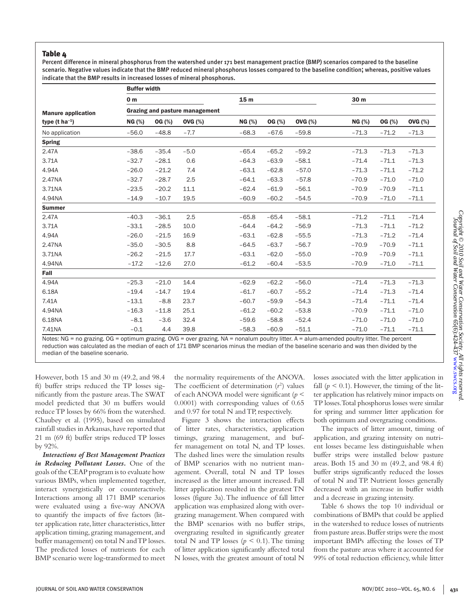Percent difference in mineral phosphorus from the watershed under 171 best management practice (BMP) scenarios compared to the baseline scenario. Negative values indicate that the BMP reduced mineral phosphorus losses compared to the baseline condition; whereas, positive values indicate that the BMP results in increased losses of mineral phosphorus.

|                            | <b>Buffer width</b>                   |               |                |                 |         |                |               |         |                |  |
|----------------------------|---------------------------------------|---------------|----------------|-----------------|---------|----------------|---------------|---------|----------------|--|
|                            | 0 <sub>m</sub>                        |               |                | 15 <sub>m</sub> |         |                | 30 m          |         |                |  |
| <b>Manure application</b>  | <b>Grazing and pasture management</b> |               |                |                 |         |                |               |         |                |  |
| type (t ha <sup>-1</sup> ) | <b>NG (%)</b>                         | <b>OG</b> (%) | <b>OVG</b> (%) | <b>NG (%)</b>   | OG (%)  | <b>OVG</b> (%) | <b>NG (%)</b> | OG (%)  | <b>OVG (%)</b> |  |
| No application             | $-56.0$                               | $-48.8$       | $-7.7$         | $-68.3$         | $-67.6$ | $-59.8$        | $-71.3$       | $-71.2$ | $-71.3$        |  |
| <b>Spring</b>              |                                       |               |                |                 |         |                |               |         |                |  |
| 2.47A                      | $-38.6$                               | $-35.4$       | $-5.0$         | $-65.4$         | $-65.2$ | $-59.2$        | $-71.3$       | $-71.3$ | $-71.3$        |  |
| 3.71A                      | $-32.7$                               | $-28.1$       | 0.6            | $-64.3$         | $-63.9$ | $-58.1$        | $-71.4$       | $-71.1$ | $-71.3$        |  |
| 4.94A                      | $-26.0$                               | $-21.2$       | 7.4            | $-63.1$         | $-62.8$ | $-57.0$        | $-71.3$       | $-71.1$ | $-71.2$        |  |
| 2.47NA                     | $-32.7$                               | $-28.7$       | 2.5            | $-64.1$         | $-63.3$ | $-57.8$        | $-70.9$       | $-71.0$ | $-71.0$        |  |
| 3.71NA                     | $-23.5$                               | $-20.2$       | 11.1           | $-62.4$         | $-61.9$ | $-56.1$        | $-70.9$       | $-70.9$ | $-71.1$        |  |
| 4.94NA                     | $-14.9$                               | $-10.7$       | 19.5           | $-60.9$         | $-60.2$ | $-54.5$        | $-70.9$       | $-71.0$ | $-71.1$        |  |
| <b>Summer</b>              |                                       |               |                |                 |         |                |               |         |                |  |
| 2.47A                      | $-40.3$                               | $-36.1$       | 2.5            | $-65.8$         | $-65.4$ | $-58.1$        | $-71.2$       | $-71.1$ | $-71.4$        |  |
| 3.71A                      | $-33.1$                               | $-28.5$       | 10.0           | $-64.4$         | $-64.2$ | $-56.9$        | $-71.3$       | $-71.1$ | $-71.2$        |  |
| 4.94A                      | $-26.0$                               | $-21.5$       | 16.9           | $-63.1$         | $-62.8$ | $-55.5$        | $-71.3$       | $-71.2$ | $-71.4$        |  |
| 2.47NA                     | $-35.0$                               | $-30.5$       | 8.8            | $-64.5$         | $-63.7$ | $-56.7$        | $-70.9$       | $-70.9$ | $-71.1$        |  |
| 3.71NA                     | $-26.2$                               | $-21.5$       | 17.7           | $-63.1$         | $-62.0$ | $-55.0$        | $-70.9$       | $-70.9$ | $-71.1$        |  |
| 4.94NA                     | $-17.2$                               | $-12.6$       | 27.0           | $-61.2$         | $-60.4$ | $-53.5$        | $-70.9$       | $-71.0$ | $-71.1$        |  |
| Fall                       |                                       |               |                |                 |         |                |               |         |                |  |
| 4.94A                      | $-25.3$                               | $-21.0$       | 14.4           | $-62.9$         | $-62.2$ | $-56.0$        | $-71.4$       | $-71.3$ | $-71.3$        |  |
| 6.18A                      | $-19.4$                               | $-14.7$       | 19.4           | $-61.7$         | $-60.7$ | $-55.2$        | $-71.4$       | $-71.3$ | $-71.4$        |  |
| 7.41A                      | $-13.1$                               | $-8.8$        | 23.7           | $-60.7$         | $-59.9$ | $-54.3$        | $-71.4$       | $-71.1$ | $-71.4$        |  |
| 4.94NA                     | $-16.3$                               | $-11.8$       | 25.1           | $-61.2$         | $-60.2$ | $-53.8$        | $-70.9$       | $-71.1$ | $-71.0$        |  |
| 6.18NA                     | $-8.1$                                | $-3.6$        | 32.4           | $-59.6$         | $-58.8$ | $-52.4$        | $-71.0$       | $-71.0$ | $-71.0$        |  |
| 7.41NA                     | $-0.1$                                | 4.4           | 39.8           | $-58.3$         | $-60.9$ | $-51.1$        | $-71.0$       | $-71.1$ | $-71.1$        |  |

Notes: NG = no grazing. OG = optimum grazing. OVG = over grazing. NA = nonalum poultry litter. A = alum-amended poultry litter. The percent reduction was calculated as the median of each of 171 BMP scenarios minus the median of the baseline scenario and was then divided by the median of the baseline scenario.

However, both 15 and 30 m (49.2, and 98.4 ft) buffer strips reduced the TP losses significantly from the pasture areas. The SWAT model predicted that 30 m buffers would reduce TP losses by 66% from the watershed. Chaubey et al. (1995), based on simulated rainfall studies in Arkansas, have reported that 21 m (69 ft) buffer strips reduced TP losses by 92%.

*Interactions of Best Management Practices in Reducing Pollutant Losses.* One of the goals of the CEAP program is to evaluate how various BMPs, when implemented together, interact synergistically or counteractively. Interactions among all 171 BMP scenarios were evaluated using a five-way ANOVA to quantify the impacts of five factors (litter application rate, litter characteristics, litter application timing, grazing management, and buffer management) on total N and TP losses. The predicted losses of nutrients for each BMP scenario were log-transformed to meet the normality requirements of the ANOVA. The coefficient of determination  $(r^2)$  values of each ANOVA model were significant (*p* < 0.0001) with corresponding values of 0.65 and 0.97 for total N and TP, respectively.

Figure 3 shows the interaction effects of litter rates, characteristics, application timings, grazing management, and buffer management on total N, and TP losses. The dashed lines were the simulation results of BMP scenarios with no nutrient management. Overall, total N and TP losses increased as the litter amount increased. Fall litter application resulted in the greatest TN losses (figure 3a). The influence of fall litter application was emphasized along with overgrazing management. When compared with the BMP scenarios with no buffer strips, overgrazing resulted in significantly greater total N and TP losses ( $p < 0.1$ ). The timing of litter application significantly affected total N losses, with the greatest amount of total N losses associated with the litter application in fall  $(p < 0.1)$ . However, the timing of the litter application has relatively minor impacts on TP losses. Total phosphorus losses were similar for spring and summer litter application for both optimum and overgrazing conditions.

The impacts of litter amount, timing of application, and grazing intensity on nutrient losses became less distinguishable when buffer strips were installed below pasture areas. Both 15 and 30 m (49.2, and 98.4 ft) buffer strips significantly reduced the losses of total N and TP. Nutrient losses generally decreased with an increase in buffer width and a decrease in grazing intensity.

Table 6 shows the top 10 individual or combinations of BMPs that could be applied in the watershed to reduce losses of nutrients from pasture areas. Buffer strips were the most important BMPs affecting the losses of TP from the pasture areas where it accounted for 99% of total reduction efficiency, while litter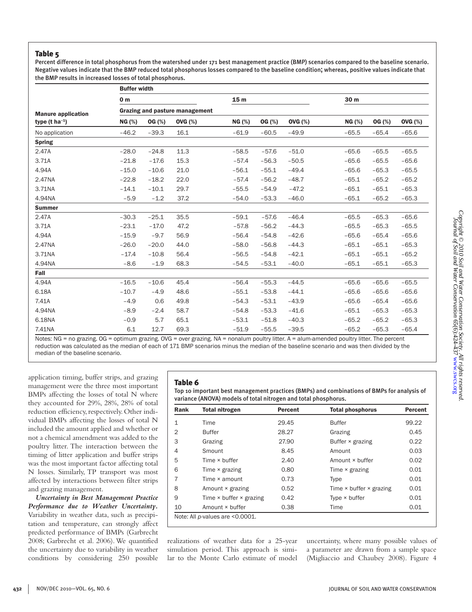Percent difference in total phosphorus from the watershed under 171 best management practice (BMP) scenarios compared to the baseline scenario. Negative values indicate that the BMP reduced total phosphorus losses compared to the baseline condition; whereas, positive values indicate that the BMP results in increased losses of total phosphorus.

|                            | <b>Buffer width</b>                   |               |                |                 |         |                |               |         |                |  |
|----------------------------|---------------------------------------|---------------|----------------|-----------------|---------|----------------|---------------|---------|----------------|--|
|                            | 0 <sub>m</sub>                        |               |                | 15 <sub>m</sub> |         |                | 30 m          |         |                |  |
| <b>Manure application</b>  | <b>Grazing and pasture management</b> |               |                |                 |         |                |               |         |                |  |
| type $(t \text{ ha}^{-1})$ | <b>NG (%)</b>                         | <b>OG</b> (%) | <b>OVG</b> (%) | <b>NG (%)</b>   | OG (%)  | <b>OVG</b> (%) | <b>NG (%)</b> | OG (%)  | <b>OVG</b> (%) |  |
| No application             | $-46.2$                               | $-39.3$       | 16.1           | $-61.9$         | $-60.5$ | $-49.9$        | $-65.5$       | $-65.4$ | $-65.6$        |  |
| <b>Spring</b>              |                                       |               |                |                 |         |                |               |         |                |  |
| 2.47A                      | $-28.0$                               | $-24.8$       | 11.3           | $-58.5$         | $-57.6$ | $-51.0$        | $-65.6$       | $-65.5$ | $-65.5$        |  |
| 3.71A                      | $-21.8$                               | $-17.6$       | 15.3           | $-57.4$         | $-56.3$ | $-50.5$        | $-65.6$       | $-65.5$ | $-65.6$        |  |
| 4.94A                      | $-15.0$                               | $-10.6$       | 21.0           | $-56.1$         | $-55.1$ | $-49.4$        | $-65.6$       | $-65.3$ | $-65.5$        |  |
| 2.47NA                     | $-22.8$                               | $-18.2$       | 22.0           | $-57.4$         | $-56.2$ | $-48.7$        | $-65.1$       | $-65.2$ | $-65.2$        |  |
| 3.71NA                     | $-14.1$                               | $-10.1$       | 29.7           | $-55.5$         | $-54.9$ | $-47.2$        | $-65.1$       | $-65.1$ | $-65.3$        |  |
| 4.94NA                     | $-5.9$                                | $-1.2$        | 37.2           | $-54.0$         | $-53.3$ | $-46.0$        | $-65.1$       | $-65.2$ | $-65.3$        |  |
| <b>Summer</b>              |                                       |               |                |                 |         |                |               |         |                |  |
| 2.47A                      | $-30.3$                               | $-25.1$       | 35.5           | $-59.1$         | $-57.6$ | $-46.4$        | $-65.5$       | $-65.3$ | $-65.6$        |  |
| 3.71A                      | $-23.1$                               | $-17.0$       | 47.2           | $-57.8$         | $-56.2$ | $-44.3$        | $-65.5$       | $-65.3$ | $-65.5$        |  |
| 4.94A                      | $-15.9$                               | $-9.7$        | 56.9           | $-56.4$         | $-54.8$ | $-42.6$        | $-65.6$       | $-65.4$ | $-65.6$        |  |
| 2.47NA                     | $-26.0$                               | $-20.0$       | 44.0           | $-58.0$         | $-56.8$ | $-44.3$        | $-65.1$       | $-65.1$ | $-65.3$        |  |
| 3.71NA                     | $-17.4$                               | $-10.8$       | 56.4           | $-56.5$         | $-54.8$ | $-42.1$        | $-65.1$       | $-65.1$ | $-65.2$        |  |
| 4.94NA                     | $-8.6$                                | $-1.9$        | 68.3           | $-54.5$         | $-53.1$ | $-40.0$        | $-65.1$       | $-65.1$ | $-65.3$        |  |
| Fall                       |                                       |               |                |                 |         |                |               |         |                |  |
| 4.94A                      | $-16.5$                               | $-10.6$       | 45.4           | $-56.4$         | $-55.3$ | $-44.5$        | $-65.6$       | $-65.6$ | $-65.5$        |  |
| 6.18A                      | $-10.7$                               | $-4.9$        | 48.6           | $-55.1$         | $-53.8$ | $-44.1$        | $-65.6$       | $-65.6$ | $-65.6$        |  |
| 7.41A                      | $-4.9$                                | 0.6           | 49.8           | $-54.3$         | $-53.1$ | $-43.9$        | $-65.6$       | $-65.4$ | $-65.6$        |  |
| 4.94NA                     | $-8.9$                                | $-2.4$        | 58.7           | $-54.8$         | $-53.3$ | $-41.6$        | $-65.1$       | $-65.3$ | $-65.3$        |  |
| 6.18NA                     | $-0.9$                                | 5.7           | 65.1           | $-53.1$         | $-51.8$ | $-40.3$        | $-65.2$       | $-65.2$ | $-65.3$        |  |
| 7.41NA                     | 6.1                                   | 12.7          | 69.3           | $-51.9$         | $-55.5$ | $-39.5$        | $-65.2$       | $-65.3$ | $-65.4$        |  |

Notes: NG = no grazing. OG = optimum grazing. OVG = over grazing. NA = nonalum poultry litter. A = alum-amended poultry litter. The percent reduction was calculated as the median of each of 171 BMP scenarios minus the median of the baseline scenario and was then divided by the median of the baseline scenario.

application timing, buffer strips, and grazing management were the three most important BMPs affecting the losses of total N where they accounted for 29%, 28%, 28% of total reduction efficiency, respectively. Other individual BMPs affecting the losses of total N included the amount applied and whether or not a chemical amendment was added to the poultry litter. The interaction between the timing of litter application and buffer strips was the most important factor affecting total N losses. Similarly, TP transport was most affected by interactions between filter strips and grazing management.

*Uncertainty in Best Management Practice Performance due to Weather Uncertainty.* Variability in weather data, such as precipitation and temperature, can strongly affect predicted performance of BMPs (Garbrecht 2008; Garbrecht et al. 2006). We quantified the uncertainty due to variability in weather conditions by considering 250 possible

#### Table 6

Top 10 important best management practices (BMPs) and combinations of BMPs for analysis of variance (ANOVA) models of total nitrogen and total phosphorus.

| <b>Rank</b> | <b>Total nitrogen</b>                 | <b>Percent</b> | <b>Total phosphorus</b>               | Percent |
|-------------|---------------------------------------|----------------|---------------------------------------|---------|
| 1           | Time                                  | 29.45          | <b>Buffer</b>                         | 99.22   |
| 2           | <b>Buffer</b>                         | 28.27          | Grazing                               | 0.45    |
| 3           | Grazing                               | 27.90          | Buffer × grazing                      | 0.22    |
| 4           | Smount                                | 8.45           | Amount                                | 0.03    |
| 5           | Time $\times$ buffer                  | 2.40           | Amount × buffer                       | 0.02    |
| 6           | Time $\times$ grazing                 | 0.80           | Time $\times$ grazing                 | 0.01    |
| 7           | Time × amount                         | 0.73           | Type                                  | 0.01    |
| 8           | Amount $\times$ grazing               | 0.52           | Time $\times$ buffer $\times$ grazing | 0.01    |
| 9           | Time $\times$ buffer $\times$ grazing | 0.42           | Type $\times$ buffer                  | 0.01    |
| 10          | Amount × buffer                       | 0.38           | Time                                  | 0.01    |

realizations of weather data for a 25-year simulation period. This approach is similar to the Monte Carlo estimate of model

uncertainty, where many possible values of a parameter are drawn from a sample space (Migliaccio and Chaubey 2008). Figure 4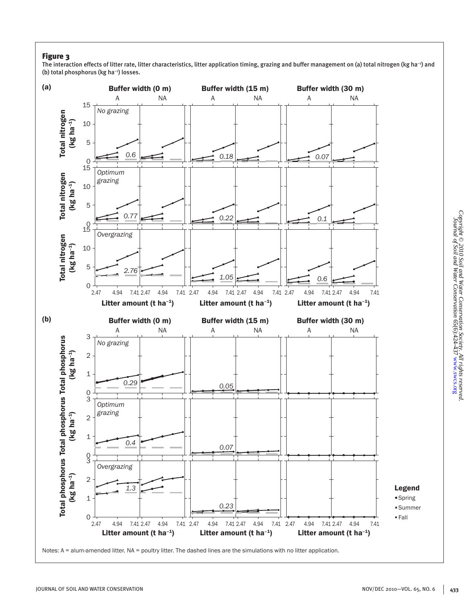## Figure 3

The interaction effects of litter rate, litter characteristics, litter application timing, grazing and buffer management on (a) total nitrogen (kg ha<sup>-1</sup>) and (b) total phosphorus (kg ha–1) losses.

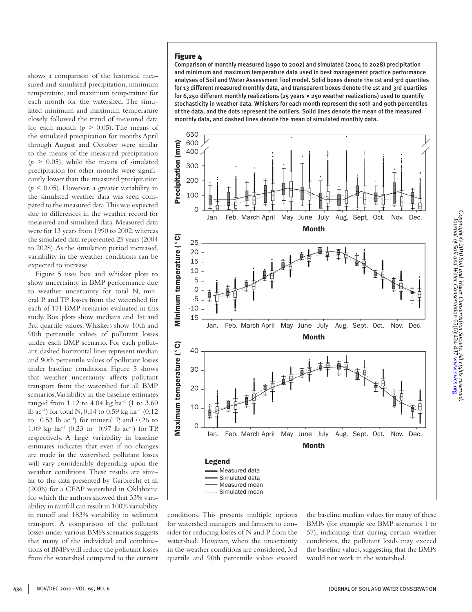shows a comparison of the historical measured and simulated precipitation, minimum temperature, and maximum temperature for each month for the watershed. The simulated minimum and maximum temperature closely followed the trend of measured data for each month  $(p > 0.05)$ . The means of the simulated precipitation for months April through August and October were similar to the means of the measured precipitation  $(p > 0.05)$ , while the means of simulated precipitation for other months were significantly lower than the measured precipitation  $(p < 0.05)$ . However, a greater variability in the simulated weather data was seen compared to the measured data. This was expected due to differences in the weather record for measured and simulated data. Measured data were for 13 years from 1990 to 2002, whereas the simulated data represented 25 years (2004 to 2028). As the simulation period increased, variability in the weather conditions can be expected to increase.

Figure 5 uses box and whisker plots to show uncertainty in BMP performance due to weather uncertainty for total N, mineral P, and TP losses from the watershed for each of 171 BMP scenarios evaluated in this study. Box plots show medians and 1st and 3rd quartile values. Whiskers show 10th and 90th percentile values of pollutant losses under each BMP scenario. For each pollutant, dashed horizontal lines represent median and 90th percentile values of pollutant losses under baseline conditions. Figure 5 shows that weather uncertainty affects pollutant transport from the watershed for all BMP scenarios. Variability in the baseline estimates ranged from 1.12 to 4.04 kg ha<sup>-1</sup> (1 to 3.60) lb ac<sup>-1</sup>) for total N, 0.14 to 0.59 kg ha<sup>-1</sup> (0.12 to  $0.53$  lb  $ac^{-1}$ ) for mineral P, and  $0.26$  to 1.09 kg ha<sup>-1</sup> (0.23 to 0.97 lb ac<sup>-1</sup>) for TP, respectively. A large variability in baseline estimates indicates that even if no changes are made in the watershed, pollutant losses will vary considerably depending upon the weather conditions. These results are similar to the data presented by Garbrecht et al. (2006) for a CEAP watershed in Oklahoma for which the authors showed that 33% variability in rainfall can result in 100% variability in runoff and 183% variability in sediment transport. A comparison of the pollutant losses under various BMPs scenarios suggests that many of the individual and combinations of BMPs will reduce the pollutant losses from the watershed compared to the current

## Figure 4

Comparison of monthly measured (1990 to 2002) and simulated (2004 to 2028) precipitation and minimum and maximum temperature data used in best management practice performance analyses of Soil and Water Assessment Tool model. Solid boxes denote the 1st and 3rd quartiles for 13 different measured monthly data, and transparent boxes denote the 1st and 3rd quartiles for 6,250 different monthly realizations (25 years × 250 weather realizations) used to quantify stochasticity in weather data. Whiskers for each month represent the 10th and 90th percentiles of the data, and the dots represent the outliers. Solid lines denote the mean of the measured monthly data, and dashed lines denote the mean of simulated monthly data.



conditions. This presents multiple options for watershed managers and farmers to consider for reducing losses of N and P from the watershed. However, when the uncertainty in the weather conditions are considered, 3rd quartile and 90th percentile values exceed

the baseline median values for many of these BMPs (for example see BMP scenarios 1 to 57), indicating that during certain weather conditions, the pollutant loads may exceed the baseline values, suggesting that the BMPs would not work in the watershed.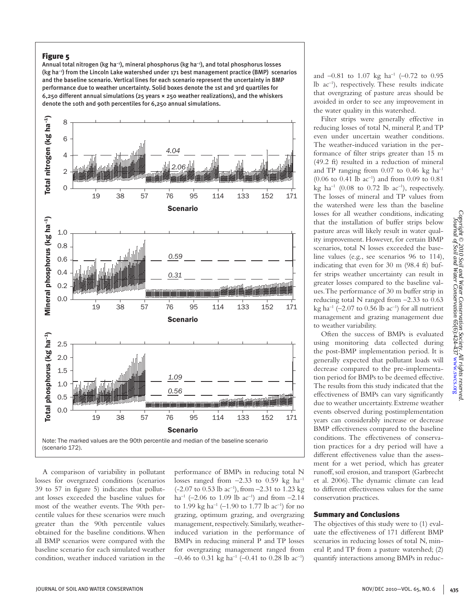## Figure 5

Annual total nitrogen (kg ha<sup>-1</sup>), mineral phosphorus (kg ha<sup>-1</sup>), and total phosphorus losses (kg ha–1) from the Lincoln Lake watershed under 171 best management practice (BMP) scenarios and the baseline scenario. Vertical lines for each scenario represent the uncertainty in BMP performance due to weather uncertainty. Solid boxes denote the 1st and 3rd quartiles for 6,250 different annual simulations (25 years × 250 weather realizations), and the whiskers denote the 10th and 90th percentiles for 6,250 annual simulations.



A comparison of variability in pollutant losses for overgrazed conditions (scenarios 39 to 57 in figure 5) indicates that pollutant losses exceeded the baseline values for most of the weather events. The 90th percentile values for these scenarios were much greater than the 90th percentile values obtained for the baseline conditions. When all BMP scenarios were compared with the baseline scenario for each simulated weather condition, weather induced variation in the

performance of BMPs in reducing total N losses ranged from  $-2.33$  to 0.59 kg ha<sup>-1</sup>  $(-2.07 \text{ to } 0.53 \text{ lb } \text{ac}^{-1})$ , from  $-2.31 \text{ to } 1.23 \text{ kg}$ ha<sup>-1</sup> (-2.06 to 1.09 lb ac<sup>-1</sup>) and from  $-2.14$ to 1.99 kg ha<sup>-1</sup> (-1.90 to 1.77 lb ac<sup>-1</sup>) for no grazing, optimum grazing, and overgrazing management, respectively. Similarly, weatherinduced variation in the performance of BMPs in reducing mineral P and TP losses for overgrazing management ranged from  $-0.46$  to 0.31 kg ha<sup>-1</sup> (-0.41 to 0.28 lb ac<sup>-1</sup>)

and  $-0.81$  to  $1.07$  kg ha<sup>-1</sup> ( $-0.72$  to  $0.95$ lb ac–1), respectively. These results indicate that overgrazing of pasture areas should be avoided in order to see any improvement in the water quality in this watershed.

Filter strips were generally effective in reducing losses of total N, mineral P, and TP even under uncertain weather conditions. The weather-induced variation in the performance of filter strips greater than 15 m (49.2 ft) resulted in a reduction of mineral and TP ranging from  $0.07$  to  $0.46$  kg  $ha^{-1}$  $(0.06 \text{ to } 0.41 \text{ lb } \text{ac}^{-1})$  and from 0.09 to 0.81 kg ha<sup>-1</sup> (0.08 to 0.72 lb ac<sup>-1</sup>), respectively. The losses of mineral and TP values from the watershed were less than the baseline losses for all weather conditions, indicating that the installation of buffer strips below pasture areas will likely result in water quality improvement. However, for certain BMP scenarios, total N losses exceeded the baseline values (e.g., see scenarios 96 to 114), indicating that even for 30 m (98.4 ft) buffer strips weather uncertainty can result in greater losses compared to the baseline values. The performance of 30 m buffer strip in reducing total N ranged from –2.33 to 0.63 kg ha<sup>-1</sup> (-2.07 to 0.56 lb ac<sup>-1</sup>) for all nutrient management and grazing management due to weather variability.

Often the success of BMPs is evaluated using monitoring data collected during the post-BMP implementation period. It is generally expected that pollutant loads will decrease compared to the pre-implementation period for BMPs to be deemed effective. The results from this study indicated that the effectiveness of BMPs can vary significantly due to weather uncertainty. Extreme weather events observed during postimplementation years can considerably increase or decrease BMP effectiveness compared to the baseline conditions. The effectiveness of conservation practices for a dry period will have a different effectiveness value than the assessment for a wet period, which has greater runoff, soil erosion, and transport (Garbrecht et al. 2006). The dynamic climate can lead to different effectiveness values for the same conservation practices.

#### Summary and Conclusions

The objectives of this study were to (1) evaluate the effectiveness of 171 different BMP scenarios in reducing losses of total N, mineral P, and TP from a pasture watershed; (2) quantify interactions among BMPs in reduc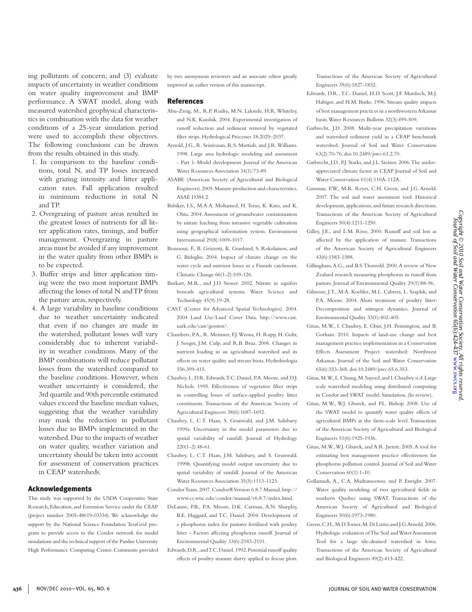ing pollutants of concern; and (3) evaluate impacts of uncertainty in weather conditions on water quality improvement and BMP performance. A SWAT model, along with measured watershed geophysical characteristics in combination with the data for weather conditions of a 25-year simulation period were used to accomplish these objectives. The following conclusions can be drawn from the results obtained in this study.

- 1. In comparison to the baseline conditions, total N, and TP losses increased with grazing intensity and litter application rates. Fall application resulted in minimum reductions in total N and TP.
- 2. Overgrazing of pasture areas resulted in the greatest losses of nutrients for all litter application rates, timings, and buffer management. Overgrazing in pasture areas must be avoided if any improvement in the water quality from other BMPs is to be expected.
- 3. Buffer strips and litter application timing were the two most important BMPs affecting the losses of total N and TP from the pasture areas, respectively.
- 4. A large variability in baseline conditions due to weather uncertainty indicated that even if no changes are made in the watershed, pollutant losses will vary considerably due to inherent variability in weather conditions. Many of the BMP combinations will reduce pollutant losses from the watershed compared to the baseline conditions. However, when weather uncertainty is considered, the 3rd quartile and 90th percentile estimated values exceed the baseline median values, suggesting that the weather variability may mask the reduction in pollutant losses due to BMPs implemented in the watershed. Due to the impacts of weather on water quality, weather variation and uncertainty should be taken into account for assessment of conservation practices in CEAP watersheds.

#### Acknowledgements

This study was supported by the USDA Cooperative State Research, Education, and Extension Service under the CEAP (project number 2005-48619-03334). We acknowledge the support by the National Science Foundation TeraGrid program to provide access to the Condor network for model simulations and the technical support of the Purdue University High Performance Computing Center. Comments provided by two anonymous reviewers and an associate editor greatly improved an earlier version of this manuscript.

#### References

- Abu-Zreig, M., R.P. Rudra, M.N. Lalonde, H.R. Whiteley, and N.K. Kaushik. 2004. Experimental investigation of runoff reduction and sediment removal by vegetated filter strips. Hydrological Processes 18:2029–2037.
- Arnold, J.G., R. Srinivasan, R.S. Muttiah, and J.R. Williams. 1998. Large area hydrologic modeling and assessment - Part 1: Model development. Journal of the American Water Resources Association 34(1):73-89.
- ASABE (American Society of Agricultural and Biological Engineers). 2005. Manure production and characteristics. ASAE D384.2.
- Babiker, I.S., M.A.A. Mohamed, H. Terao, K. Kato, and K. Ohta. 2004. Assessment of groundwater contamination by nitrate leaching from intensive vegetable cultivation using geographical information system. Environment International 29(8):1009-1017.
- Bouraoui, F., B. Grizzetti, K. Granlund, S. Rekolainen, and G. Bidoglio. 2004. Impact of climate change on the water cycle and nutrient losses in a Finnish catchment. Climatic Change 66(1-2):109-126.
- Burkart, M.R., and J.D. Stoner. 2002. Nitrate in aquifers beneath agricultural systems. Water Science and Technology 45(9):19-28.
- CAST (Center for Advanced Spatial Technologies). 2004. 2004 Land Use/Land Cover Data. http://www.cast. uark.edu/cast/geostor/.
- Chambers, P.A., R. Meissner, F.J. Wrona, H. Rupp, H. Guhr, J. Seeger, J.M. Culp, and R.B. Brua. 2006. Changes in nutrient loading in an agricultural watershed and its effects on water quality and stream biota. Hydrobiologia 556:399-415.
- Chaubey, I., D.R. Edwards, T.C. Daniel, P.A. Moore, and D.J. Nichols. 1995. Effectiveness of vegetative filter strips in controlling losses of surface-applied poultry litter constituents. Transactions of the American Society of Agricultural Engineers 38(6):1687-1692.
- Chaubey, I., C.T. Haan, S. Grunwald, and J.M. Salisbury. 1999a. Uncertainty in the model parameters due to spatial variability of rainfall. Journal of Hydrology 220(1-2):48-61.
- Chaubey, I., C.T. Haan, J.M. Salisbury, and S. Grunwald. 1999b. Quantifying model output uncertainty due to spatial variability of rainfall. Journal of the American Water Resources Association 35(5):1113-1123.
- Condor Team. 2007. Condor® Version 6.8.7 Manual. http:// www.cs.wisc.edu/condor/manual/v6.8.7/index.html.
- DeLaune, P.B., P.A. Moore, D.K. Carman, A.N. Sharpley, B.E. Haggard, and T.C. Daniel. 2004. Development of a phosphorus index for pastures fertilized with poultry litter - Factors affecting phosphorus runoff. Journal of Environmental Quality 33(6):2183-2191.
- Edwards, D.R., and T.C. Daniel. 1992. Potential runoff quality effects of poultry manure slurry applied to fescue plots.

Transactions of the American Society of Agricultural Engineers 35(6):1827-1832.

- Edwards, D.R., T.C. Daniel, H.D. Scott, J.F. Murdoch, M.J. Habiger, and H.M. Burks. 1996. Stream quality impacts of best management practices in a northwestern Arkansas basin. Water Resources Bulletin 32(3):499-509.
- Garbrecht, J.D. 2008. Multi-year precipitation variations and watershed sediment yield in a CEAP benchmark watershed. Journal of Soil and Water Conservation 63(2):70-76, doi:10.2489/jswc.63.2.70.
- Garbrecht, J.D., P.J. Starks, and J.L. Steiner. 2006. The underappreciated climate factor in CEAP. Journal of Soil and Water Conservation 61(4):110A-112A.
- Gassman, P.W., M.R. Reyes, C.H. Green, and J.G. Arnold. 2007. The soil and water assessment tool: Historical development, applications, and future research directions. Transactions of the American Society of Agricultural Engineers 50(4):1211-1250.
- Gilley, J.E., and L.M. Risse, 2000. Runoff and soil loss as affected by the application of manure. Transactions of the American Society of Agricultural Engineers 43(6):1583-1588.
- Gillingham, A.G., and B.S. Thorrold. 2000. A review of New Zealand research measuring phosphorus in runoff from pasture. Journal of Environmental Quality 29(1):88-96.
- Gilmour, J.T., M.A. Koehler, M.L. Cabrera, L. Szajdak, and P.A. Moore. 2004. Alum treatment of poultry litter: Decomposition and nitrogen dynamics. Journal of Environmental Quality 33(1):402-405.
- Gitau, M.W., I. Chaubey, E. Gbur, J.H. Pennington, and B. Gorham. 2010. Impacts of land-use change and best management practice implementation in a Conservation Effects Assessment Project watershed: Northwest Arkansas. Journal of the Soil and Water Conservation 65(6):353-368, doi:10.2489/jswc.65.6.353.
- Gitau, M.W., L. Chiang, M. Sayeed, and I. Chaubey. n.d. Large scale watershed modeling using distributed computing in Condor and SWAT model. Simulation. (In review).
- Gitau, M.W., W.J. Gburek, and P.L. Bishop. 2008. Use of the SWAT model to quantify water quality effects of agricultural BMPs at the farm-scale level. Transactions of the American Society of Agricultural and Biological Engineers 51(6):1925-1936.
- Gitau, M.W., W.J. Gburek, and A.R. Jarrett. 2005. A tool for estimating best management practice effectiveness for phosphorus pollution control. Journal of Soil and Water Conservation 60(1):1-10.
- Gollamudi, A., C.A. Madramootoo, and P. Enright. 2007. Water quality modeling of two agricultural fields in southern Quebec using SWAT. Transactions of the American Society of Agricultural and Biological Engineers 50(6):1973-1980.
- Green, C.H., M.D. Tomer, M. Di Luzio, and J.G. Arnold. 2006. Hydrologic evaluation of The Soil and Water Assessment Tool for a large tile-drained watershed in Iowa. Transactions of the American Society of Agricultural and Biological Engineers 49(2):413-422.